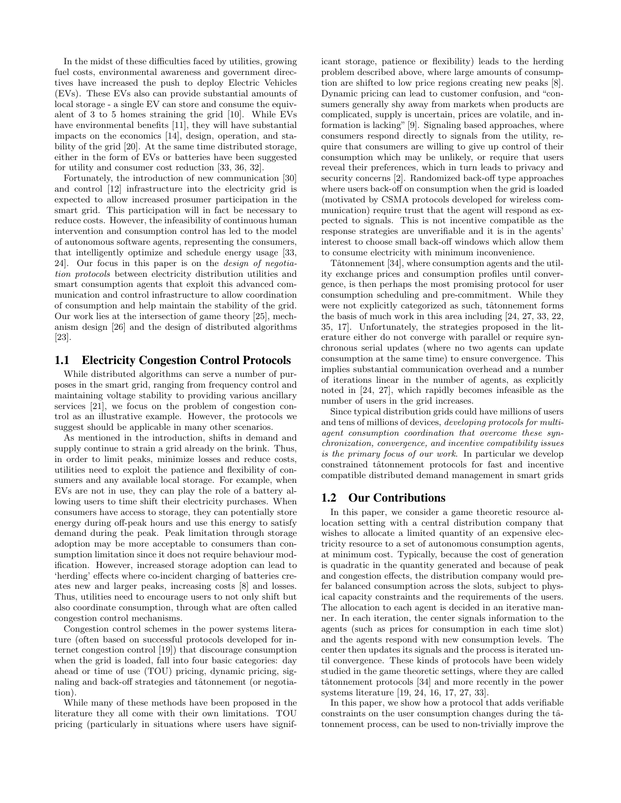In the midst of these difficulties faced by utilities, growing fuel costs, environmental awareness and government directives have increased the push to deploy Electric Vehicles (EVs). These EVs also can provide substantial amounts of local storage - a single EV can store and consume the equivalent of 3 to 5 homes straining the grid [10]. While EVs have environmental benefits [11], they will have substantial impacts on the economics [14], design, operation, and stability of the grid [20]. At the same time distributed storage, either in the form of EVs or batteries have been suggested for utility and consumer cost reduction [33, 36, 32].

Fortunately, the introduction of new communication [30] and control [12] infrastructure into the electricity grid is expected to allow increased prosumer participation in the smart grid. This participation will in fact be necessary to reduce costs. However, the infeasibility of continuous human intervention and consumption control has led to the model of autonomous software agents, representing the consumers, that intelligently optimize and schedule energy usage [33, 24]. Our focus in this paper is on the design of negotiation protocols between electricity distribution utilities and smart consumption agents that exploit this advanced communication and control infrastructure to allow coordination of consumption and help maintain the stability of the grid. Our work lies at the intersection of game theory [25], mechanism design [26] and the design of distributed algorithms [23].

### 1.1 Electricity Congestion Control Protocols

While distributed algorithms can serve a number of purposes in the smart grid, ranging from frequency control and maintaining voltage stability to providing various ancillary services [21], we focus on the problem of congestion control as an illustrative example. However, the protocols we suggest should be applicable in many other scenarios.

As mentioned in the introduction, shifts in demand and supply continue to strain a grid already on the brink. Thus, in order to limit peaks, minimize losses and reduce costs, utilities need to exploit the patience and flexibility of consumers and any available local storage. For example, when EVs are not in use, they can play the role of a battery allowing users to time shift their electricity purchases. When consumers have access to storage, they can potentially store energy during off-peak hours and use this energy to satisfy demand during the peak. Peak limitation through storage adoption may be more acceptable to consumers than consumption limitation since it does not require behaviour modification. However, increased storage adoption can lead to 'herding' effects where co-incident charging of batteries creates new and larger peaks, increasing costs [8] and losses. Thus, utilities need to encourage users to not only shift but also coordinate consumption, through what are often called congestion control mechanisms.

Congestion control schemes in the power systems literature (often based on successful protocols developed for internet congestion control [19]) that discourage consumption when the grid is loaded, fall into four basic categories: day ahead or time of use (TOU) pricing, dynamic pricing, signaling and back-off strategies and tâtonnement (or negotiation).

While many of these methods have been proposed in the literature they all come with their own limitations. TOU pricing (particularly in situations where users have significant storage, patience or flexibility) leads to the herding problem described above, where large amounts of consumption are shifted to low price regions creating new peaks [8]. Dynamic pricing can lead to customer confusion, and "consumers generally shy away from markets when products are complicated, supply is uncertain, prices are volatile, and information is lacking" [9]. Signaling based approaches, where consumers respond directly to signals from the utility, require that consumers are willing to give up control of their consumption which may be unlikely, or require that users reveal their preferences, which in turn leads to privacy and security concerns [2]. Randomized back-off type approaches where users back-off on consumption when the grid is loaded (motivated by CSMA protocols developed for wireless communication) require trust that the agent will respond as expected to signals. This is not incentive compatible as the response strategies are unverifiable and it is in the agents' interest to choose small back-off windows which allow them to consume electricity with minimum inconvenience.

Tâtonnement [34], where consumption agents and the utility exchange prices and consumption profiles until convergence, is then perhaps the most promising protocol for user consumption scheduling and pre-commitment. While they were not explicitly categorized as such, tâtonnement forms the basis of much work in this area including [24, 27, 33, 22, 35, 17]. Unfortunately, the strategies proposed in the literature either do not converge with parallel or require synchronous serial updates (where no two agents can update consumption at the same time) to ensure convergence. This implies substantial communication overhead and a number of iterations linear in the number of agents, as explicitly noted in [24, 27], which rapidly becomes infeasible as the number of users in the grid increases.

Since typical distribution grids could have millions of users and tens of millions of devices, developing protocols for multiagent consumption coordination that overcome these synchronization, convergence, and incentive compatibility issues is the primary focus of our work. In particular we develop constrained tâtonnement protocols for fast and incentive compatible distributed demand management in smart grids

#### 1.2 Our Contributions

In this paper, we consider a game theoretic resource allocation setting with a central distribution company that wishes to allocate a limited quantity of an expensive electricity resource to a set of autonomous consumption agents, at minimum cost. Typically, because the cost of generation is quadratic in the quantity generated and because of peak and congestion effects, the distribution company would prefer balanced consumption across the slots, subject to physical capacity constraints and the requirements of the users. The allocation to each agent is decided in an iterative manner. In each iteration, the center signals information to the agents (such as prices for consumption in each time slot) and the agents respond with new consumption levels. The center then updates its signals and the process is iterated until convergence. These kinds of protocols have been widely studied in the game theoretic settings, where they are called tâtonnement protocols [34] and more recently in the power systems literature [19, 24, 16, 17, 27, 33].

In this paper, we show how a protocol that adds verifiable constraints on the user consumption changes during the tâtonnement process, can be used to non-trivially improve the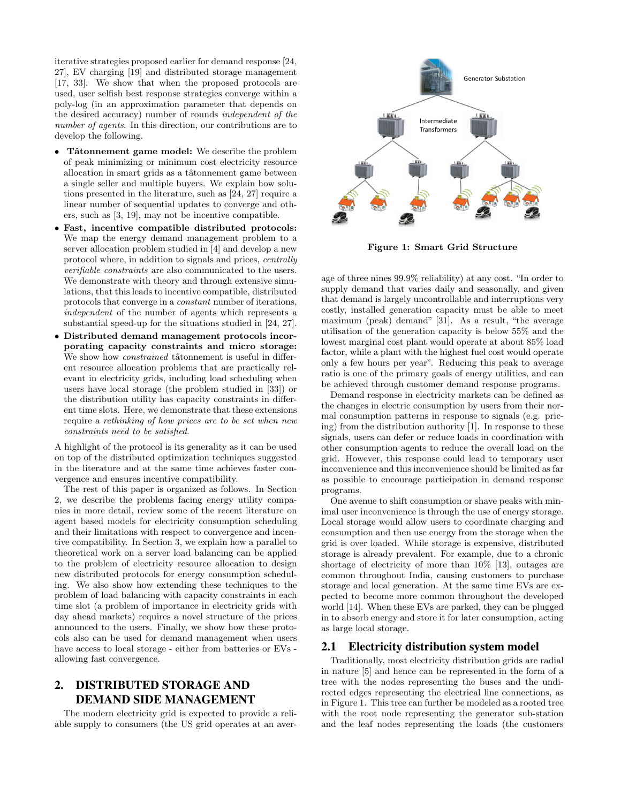iterative strategies proposed earlier for demand response [24, 27], EV charging [19] and distributed storage management [17, 33]. We show that when the proposed protocols are used, user selfish best response strategies converge within a poly-log (in an approximation parameter that depends on the desired accuracy) number of rounds independent of the number of agents. In this direction, our contributions are to develop the following.

- Tâtonnement game model: We describe the problem of peak minimizing or minimum cost electricity resource allocation in smart grids as a tâtonnement game between a single seller and multiple buyers. We explain how solutions presented in the literature, such as [24, 27] require a linear number of sequential updates to converge and others, such as [3, 19], may not be incentive compatible.
- Fast, incentive compatible distributed protocols: We map the energy demand management problem to a server allocation problem studied in [4] and develop a new protocol where, in addition to signals and prices, centrally verifiable constraints are also communicated to the users. We demonstrate with theory and through extensive simulations, that this leads to incentive compatible, distributed protocols that converge in a constant number of iterations, independent of the number of agents which represents a substantial speed-up for the situations studied in [24, 27].
- Distributed demand management protocols incorporating capacity constraints and micro storage: We show how *constrained* tâtonnement is useful in different resource allocation problems that are practically relevant in electricity grids, including load scheduling when users have local storage (the problem studied in [33]) or the distribution utility has capacity constraints in different time slots. Here, we demonstrate that these extensions require a rethinking of how prices are to be set when new constraints need to be satisfied.

A highlight of the protocol is its generality as it can be used on top of the distributed optimization techniques suggested in the literature and at the same time achieves faster convergence and ensures incentive compatibility.

The rest of this paper is organized as follows. In Section 2, we describe the problems facing energy utility companies in more detail, review some of the recent literature on agent based models for electricity consumption scheduling and their limitations with respect to convergence and incentive compatibility. In Section 3, we explain how a parallel to theoretical work on a server load balancing can be applied to the problem of electricity resource allocation to design new distributed protocols for energy consumption scheduling. We also show how extending these techniques to the problem of load balancing with capacity constraints in each time slot (a problem of importance in electricity grids with day ahead markets) requires a novel structure of the prices announced to the users. Finally, we show how these protocols also can be used for demand management when users have access to local storage - either from batteries or EVs allowing fast convergence.

## 2. DISTRIBUTED STORAGE AND DEMAND SIDE MANAGEMENT

The modern electricity grid is expected to provide a reliable supply to consumers (the US grid operates at an aver-



Figure 1: Smart Grid Structure

age of three nines 99.9% reliability) at any cost. "In order to supply demand that varies daily and seasonally, and given that demand is largely uncontrollable and interruptions very costly, installed generation capacity must be able to meet maximum (peak) demand" [31]. As a result, "the average utilisation of the generation capacity is below 55% and the lowest marginal cost plant would operate at about 85% load factor, while a plant with the highest fuel cost would operate only a few hours per year". Reducing this peak to average ratio is one of the primary goals of energy utilities, and can be achieved through customer demand response programs.

Demand response in electricity markets can be defined as the changes in electric consumption by users from their normal consumption patterns in response to signals (e.g. pricing) from the distribution authority [1]. In response to these signals, users can defer or reduce loads in coordination with other consumption agents to reduce the overall load on the grid. However, this response could lead to temporary user inconvenience and this inconvenience should be limited as far as possible to encourage participation in demand response programs.

One avenue to shift consumption or shave peaks with minimal user inconvenience is through the use of energy storage. Local storage would allow users to coordinate charging and consumption and then use energy from the storage when the grid is over loaded. While storage is expensive, distributed storage is already prevalent. For example, due to a chronic shortage of electricity of more than 10% [13], outages are common throughout India, causing customers to purchase storage and local generation. At the same time EVs are expected to become more common throughout the developed world [14]. When these EVs are parked, they can be plugged in to absorb energy and store it for later consumption, acting as large local storage.

### 2.1 Electricity distribution system model

Traditionally, most electricity distribution grids are radial in nature [5] and hence can be represented in the form of a tree with the nodes representing the buses and the undirected edges representing the electrical line connections, as in Figure 1. This tree can further be modeled as a rooted tree with the root node representing the generator sub-station and the leaf nodes representing the loads (the customers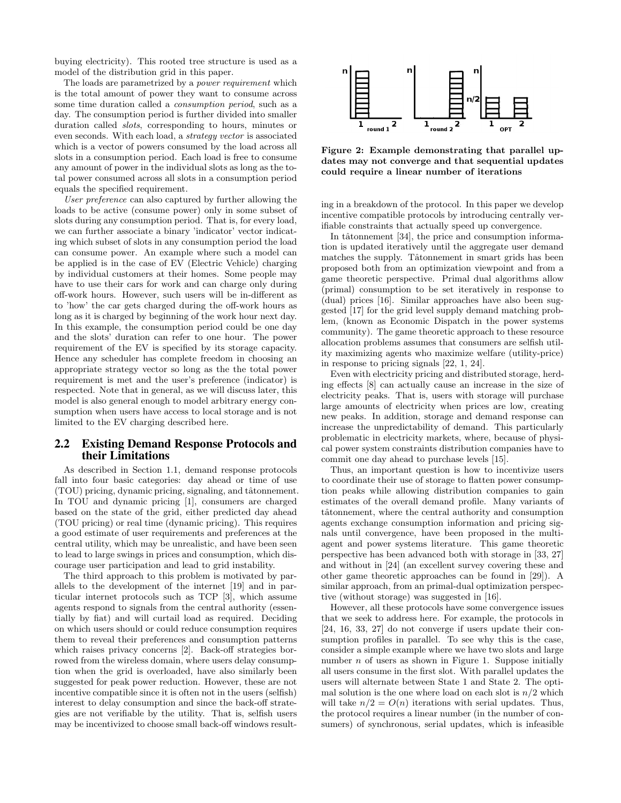buying electricity). This rooted tree structure is used as a model of the distribution grid in this paper.

The loads are parametrized by a *power requirement* which is the total amount of power they want to consume across some time duration called a consumption period, such as a day. The consumption period is further divided into smaller duration called slots, corresponding to hours, minutes or even seconds. With each load, a strategy vector is associated which is a vector of powers consumed by the load across all slots in a consumption period. Each load is free to consume any amount of power in the individual slots as long as the total power consumed across all slots in a consumption period equals the specified requirement.

User preference can also captured by further allowing the loads to be active (consume power) only in some subset of slots during any consumption period. That is, for every load, we can further associate a binary 'indicator' vector indicating which subset of slots in any consumption period the load can consume power. An example where such a model can be applied is in the case of EV (Electric Vehicle) charging by individual customers at their homes. Some people may have to use their cars for work and can charge only during off-work hours. However, such users will be in-different as to 'how' the car gets charged during the off-work hours as long as it is charged by beginning of the work hour next day. In this example, the consumption period could be one day and the slots' duration can refer to one hour. The power requirement of the EV is specified by its storage capacity. Hence any scheduler has complete freedom in choosing an appropriate strategy vector so long as the the total power requirement is met and the user's preference (indicator) is respected. Note that in general, as we will discuss later, this model is also general enough to model arbitrary energy consumption when users have access to local storage and is not limited to the EV charging described here.

### 2.2 Existing Demand Response Protocols and their Limitations

As described in Section 1.1, demand response protocols fall into four basic categories: day ahead or time of use (TOU) pricing, dynamic pricing, signaling, and tâtonnement. In TOU and dynamic pricing [1], consumers are charged based on the state of the grid, either predicted day ahead (TOU pricing) or real time (dynamic pricing). This requires a good estimate of user requirements and preferences at the central utility, which may be unrealistic, and have been seen to lead to large swings in prices and consumption, which discourage user participation and lead to grid instability.

The third approach to this problem is motivated by parallels to the development of the internet [19] and in particular internet protocols such as TCP [3], which assume agents respond to signals from the central authority (essentially by fiat) and will curtail load as required. Deciding on which users should or could reduce consumption requires them to reveal their preferences and consumption patterns which raises privacy concerns [2]. Back-off strategies borrowed from the wireless domain, where users delay consumption when the grid is overloaded, have also similarly been suggested for peak power reduction. However, these are not incentive compatible since it is often not in the users (selfish) interest to delay consumption and since the back-off strategies are not verifiable by the utility. That is, selfish users may be incentivized to choose small back-off windows result-



Figure 2: Example demonstrating that parallel updates may not converge and that sequential updates could require a linear number of iterations

ing in a breakdown of the protocol. In this paper we develop incentive compatible protocols by introducing centrally verifiable constraints that actually speed up convergence.

In tâtonnement  $[34]$ , the price and consumption information is updated iteratively until the aggregate user demand matches the supply. Tâtonnement in smart grids has been proposed both from an optimization viewpoint and from a game theoretic perspective. Primal dual algorithms allow (primal) consumption to be set iteratively in response to (dual) prices [16]. Similar approaches have also been suggested [17] for the grid level supply demand matching problem, (known as Economic Dispatch in the power systems community). The game theoretic approach to these resource allocation problems assumes that consumers are selfish utility maximizing agents who maximize welfare (utility-price) in response to pricing signals [22, 1, 24].

Even with electricity pricing and distributed storage, herding effects [8] can actually cause an increase in the size of electricity peaks. That is, users with storage will purchase large amounts of electricity when prices are low, creating new peaks. In addition, storage and demand response can increase the unpredictability of demand. This particularly problematic in electricity markets, where, because of physical power system constraints distribution companies have to commit one day ahead to purchase levels [15].

Thus, an important question is how to incentivize users to coordinate their use of storage to flatten power consumption peaks while allowing distribution companies to gain estimates of the overall demand profile. Many variants of tâtonnement, where the central authority and consumption agents exchange consumption information and pricing signals until convergence, have been proposed in the multiagent and power systems literature. This game theoretic perspective has been advanced both with storage in [33, 27] and without in [24] (an excellent survey covering these and other game theoretic approaches can be found in [29]). A similar approach, from an primal-dual optimization perspective (without storage) was suggested in [16].

However, all these protocols have some convergence issues that we seek to address here. For example, the protocols in [24, 16, 33, 27] do not converge if users update their consumption profiles in parallel. To see why this is the case, consider a simple example where we have two slots and large number  $n$  of users as shown in Figure 1. Suppose initially all users consume in the first slot. With parallel updates the users will alternate between State 1 and State 2. The optimal solution is the one where load on each slot is  $n/2$  which will take  $n/2 = O(n)$  iterations with serial updates. Thus, the protocol requires a linear number (in the number of consumers) of synchronous, serial updates, which is infeasible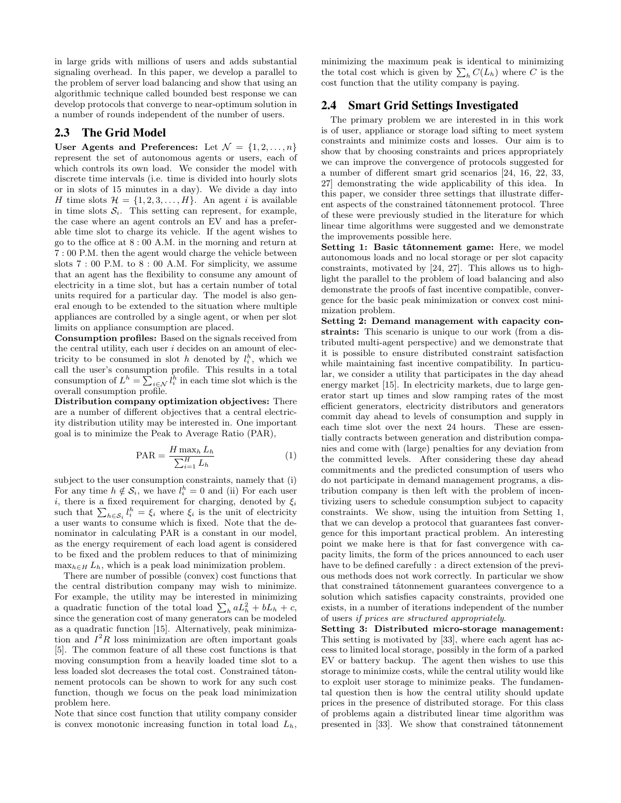in large grids with millions of users and adds substantial signaling overhead. In this paper, we develop a parallel to the problem of server load balancing and show that using an algorithmic technique called bounded best response we can develop protocols that converge to near-optimum solution in a number of rounds independent of the number of users.

### 2.3 The Grid Model

User Agents and Preferences: Let  $\mathcal{N} = \{1, 2, ..., n\}$ represent the set of autonomous agents or users, each of which controls its own load. We consider the model with discrete time intervals (i.e. time is divided into hourly slots or in slots of 15 minutes in a day). We divide a day into H time slots  $\mathcal{H} = \{1, 2, 3, \ldots, H\}$ . An agent i is available in time slots  $S_i$ . This setting can represent, for example, the case where an agent controls an EV and has a preferable time slot to charge its vehicle. If the agent wishes to go to the office at 8 : 00 A.M. in the morning and return at 7 : 00 P.M. then the agent would charge the vehicle between slots  $7:00$  P.M. to  $8:00$  A.M. For simplicity, we assume that an agent has the flexibility to consume any amount of electricity in a time slot, but has a certain number of total units required for a particular day. The model is also general enough to be extended to the situation where multiple appliances are controlled by a single agent, or when per slot limits on appliance consumption are placed.

Consumption profiles: Based on the signals received from the central utility, each user  $i$  decides on an amount of electricity to be consumed in slot h denoted by  $l_i^h$ , which we call the user's consumption profile. This results in a total consumption of  $L^h = \sum_{i \in \mathcal{N}} \bar{l}_i^h$  in each time slot which is the overall consumption profile.

Distribution company optimization objectives: There are a number of different objectives that a central electricity distribution utility may be interested in. One important goal is to minimize the Peak to Average Ratio (PAR),

$$
PAR = \frac{H \max_h L_h}{\sum_{i=1}^H L_h} \tag{1}
$$

subject to the user consumption constraints, namely that (i) For any time  $h \notin \mathcal{S}_i$ , we have  $l_i^h = 0$  and (ii) For each user i, there is a fixed requirement for charging, denoted by  $\xi_i$ such that  $\sum_{h \in S_i} l_i^h = \xi_i$  where  $\xi_i$  is the unit of electricity a user wants to consume which is fixed. Note that the denominator in calculating PAR is a constant in our model, as the energy requirement of each load agent is considered to be fixed and the problem reduces to that of minimizing  $\max_{h \in H} L_h$ , which is a peak load minimization problem.

There are number of possible (convex) cost functions that the central distribution company may wish to minimize. For example, the utility may be interested in minimizing a quadratic function of the total load  $\sum_h a L_h^2 + b L_h + c$ , since the generation cost of many generators can be modeled as a quadratic function [15]. Alternatively, peak minimization and  $I^2R$  loss minimization are often important goals [5]. The common feature of all these cost functions is that moving consumption from a heavily loaded time slot to a less loaded slot decreases the total cost. Constrained tâtonnement protocols can be shown to work for any such cost function, though we focus on the peak load minimization problem here.

Note that since cost function that utility company consider is convex monotonic increasing function in total load  $L<sub>h</sub>$ , minimizing the maximum peak is identical to minimizing the total cost which is given by  $\sum_h C(L_h)$  where C is the cost function that the utility company is paying.

### 2.4 Smart Grid Settings Investigated

The primary problem we are interested in in this work is of user, appliance or storage load sifting to meet system constraints and minimize costs and losses. Our aim is to show that by choosing constraints and prices appropriately we can improve the convergence of protocols suggested for a number of different smart grid scenarios [24, 16, 22, 33, 27] demonstrating the wide applicability of this idea. In this paper, we consider three settings that illustrate different aspects of the constrained tâtonnement protocol. Three of these were previously studied in the literature for which linear time algorithms were suggested and we demonstrate the improvements possible here.

Setting 1: Basic tâtonnement game: Here, we model autonomous loads and no local storage or per slot capacity constraints, motivated by [24, 27]. This allows us to highlight the parallel to the problem of load balancing and also demonstrate the proofs of fast incentive compatible, convergence for the basic peak minimization or convex cost minimization problem.

Setting 2: Demand management with capacity constraints: This scenario is unique to our work (from a distributed multi-agent perspective) and we demonstrate that it is possible to ensure distributed constraint satisfaction while maintaining fast incentive compatibility. In particular, we consider a utility that participates in the day ahead energy market [15]. In electricity markets, due to large generator start up times and slow ramping rates of the most efficient generators, electricity distributors and generators commit day ahead to levels of consumption and supply in each time slot over the next 24 hours. These are essentially contracts between generation and distribution companies and come with (large) penalties for any deviation from the committed levels. After considering these day ahead commitments and the predicted consumption of users who do not participate in demand management programs, a distribution company is then left with the problem of incentivizing users to schedule consumption subject to capacity constraints. We show, using the intuition from Setting 1, that we can develop a protocol that guarantees fast convergence for this important practical problem. An interesting point we make here is that for fast convergence with capacity limits, the form of the prices announced to each user have to be defined carefully : a direct extension of the previous methods does not work correctly. In particular we show that constrained tâtonnement guarantees convergence to a solution which satisfies capacity constraints, provided one exists, in a number of iterations independent of the number of users if prices are structured appropriately.

Setting 3: Distributed micro-storage management: This setting is motivated by [33], where each agent has access to limited local storage, possibly in the form of a parked EV or battery backup. The agent then wishes to use this storage to minimize costs, while the central utility would like to exploit user storage to minimize peaks. The fundamental question then is how the central utility should update prices in the presence of distributed storage. For this class of problems again a distributed linear time algorithm was presented in [33]. We show that constrained tâtonnement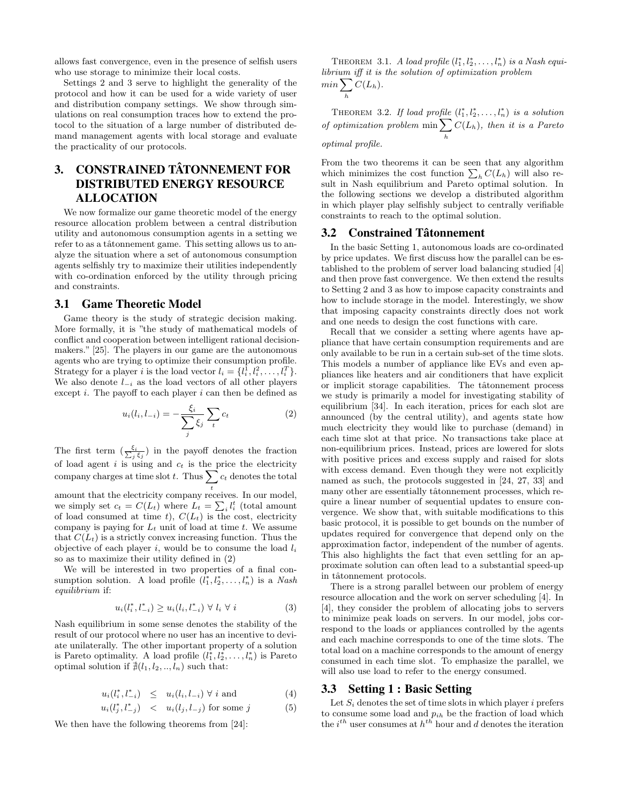allows fast convergence, even in the presence of selfish users who use storage to minimize their local costs.

Settings 2 and 3 serve to highlight the generality of the protocol and how it can be used for a wide variety of user and distribution company settings. We show through simulations on real consumption traces how to extend the protocol to the situation of a large number of distributed demand management agents with local storage and evaluate the practicality of our protocols.

# 3. CONSTRAINED TÂTONNEMENT FOR DISTRIBUTED ENERGY RESOURCE ALLOCATION

We now formalize our game theoretic model of the energy resource allocation problem between a central distribution utility and autonomous consumption agents in a setting we refer to as a tâtonnement game. This setting allows us to analyze the situation where a set of autonomous consumption agents selfishly try to maximize their utilities independently with co-ordination enforced by the utility through pricing and constraints.

#### 3.1 Game Theoretic Model

Game theory is the study of strategic decision making. More formally, it is "the study of mathematical models of conflict and cooperation between intelligent rational decisionmakers." [25]. The players in our game are the autonomous agents who are trying to optimize their consumption profile. Strategy for a player *i* is the load vector  $l_i = \{l_i^1, l_i^2, \ldots, l_i^T\}$ . We also denote  $l_{-i}$  as the load vectors of all other players except  $i$ . The payoff to each player  $i$  can then be defined as

$$
u_i(l_i, l_{-i}) = -\frac{\xi_i}{\sum_j \xi_j} \sum_t c_t \tag{2}
$$

The first term  $\left(\frac{\xi_i}{\sum_j \xi_j}\right)$  in the payoff denotes the fraction of load agent  $i$  is using and  $c_t$  is the price the electricity company charges at time slot t. Thus  $\sum c_t$  denotes the total amount that the electricity company receives. In our model, we simply set  $c_t = C(L_t)$  where  $L_t = \sum_i l_i^t$  (total amount of load consumed at time t),  $C(L_t)$  is the cost, electricity company is paying for  $L_t$  unit of load at time t. We assume that  $C(L_t)$  is a strictly convex increasing function. Thus the

objective of each player i, would be to consume the load  $l_i$ so as to maximize their utility defined in (2)

We will be interested in two properties of a final consumption solution. A load profile  $(l_1^*, l_2^*, \ldots, l_n^*)$  is a *Nash* equilibrium if:

$$
u_i(l_i^*, l_{-i}^*) \ge u_i(l_i, l_{-i}^*) \ \forall \ l_i \ \forall \ i \tag{3}
$$

Nash equilibrium in some sense denotes the stability of the result of our protocol where no user has an incentive to deviate unilaterally. The other important property of a solution is Pareto optimality. A load profile  $(l_1^*, l_2^*, \ldots, l_n^*)$  is Pareto optimal solution if  $\mathcal{A}(l_1, l_2, \ldots, l_n)$  such that:

$$
u_i(l_i^*, l_{-i}^*) \leq u_i(l_i, l_{-i}) \ \forall \ i \text{ and } \tag{4}
$$

$$
u_i(l_j^*, l_{-j}^*) \quad < \quad u_i(l_j, l_{-j}) \text{ for some } j \tag{5}
$$

We then have the following theorems from [24]:

THEOREM 3.1. A load profile  $(l_1^*, l_2^*, \ldots, l_n^*)$  is a Nash equilibrium iff it is the solution of optimization problem  $min\sum$  $C(L_h)$ .



THEOREM 3.2. If load profile  $(l_1^*, l_2^*, \ldots, l_n^*)$  is a solution of optimization problem  $\min$ h  $C(L_h)$ , then it is a Pareto

optimal profile.

From the two theorems it can be seen that any algorithm which minimizes the cost function  $\sum_h C(L_h)$  will also result in Nash equilibrium and Pareto optimal solution. In the following sections we develop a distributed algorithm in which player play selfishly subject to centrally verifiable constraints to reach to the optimal solution.

### 3.2 Constrained Tâtonnement

In the basic Setting 1, autonomous loads are co-ordinated by price updates. We first discuss how the parallel can be established to the problem of server load balancing studied [4] and then prove fast convergence. We then extend the results to Setting 2 and 3 as how to impose capacity constraints and how to include storage in the model. Interestingly, we show that imposing capacity constraints directly does not work and one needs to design the cost functions with care.

Recall that we consider a setting where agents have appliance that have certain consumption requirements and are only available to be run in a certain sub-set of the time slots. This models a number of appliance like EVs and even appliances like heaters and air conditioners that have explicit or implicit storage capabilities. The tâtonnement process we study is primarily a model for investigating stability of equilibrium [34]. In each iteration, prices for each slot are announced (by the central utility), and agents state how much electricity they would like to purchase (demand) in each time slot at that price. No transactions take place at non-equilibrium prices. Instead, prices are lowered for slots with positive prices and excess supply and raised for slots with excess demand. Even though they were not explicitly named as such, the protocols suggested in [24, 27, 33] and many other are essentially tâtonnement processes, which require a linear number of sequential updates to ensure convergence. We show that, with suitable modifications to this basic protocol, it is possible to get bounds on the number of updates required for convergence that depend only on the approximation factor, independent of the number of agents. This also highlights the fact that even settling for an approximate solution can often lead to a substantial speed-up in tâtonnement protocols.

There is a strong parallel between our problem of energy resource allocation and the work on server scheduling [4]. In [4], they consider the problem of allocating jobs to servers to minimize peak loads on servers. In our model, jobs correspond to the loads or appliances controlled by the agents and each machine corresponds to one of the time slots. The total load on a machine corresponds to the amount of energy consumed in each time slot. To emphasize the parallel, we will also use load to refer to the energy consumed.

#### 3.3 Setting 1 : Basic Setting

Let  $S_i$  denotes the set of time slots in which player i prefers to consume some load and  $p_{ih}$  be the fraction of load which the  $i^{th}$  user consumes at  $h^{th}$  hour and d denotes the iteration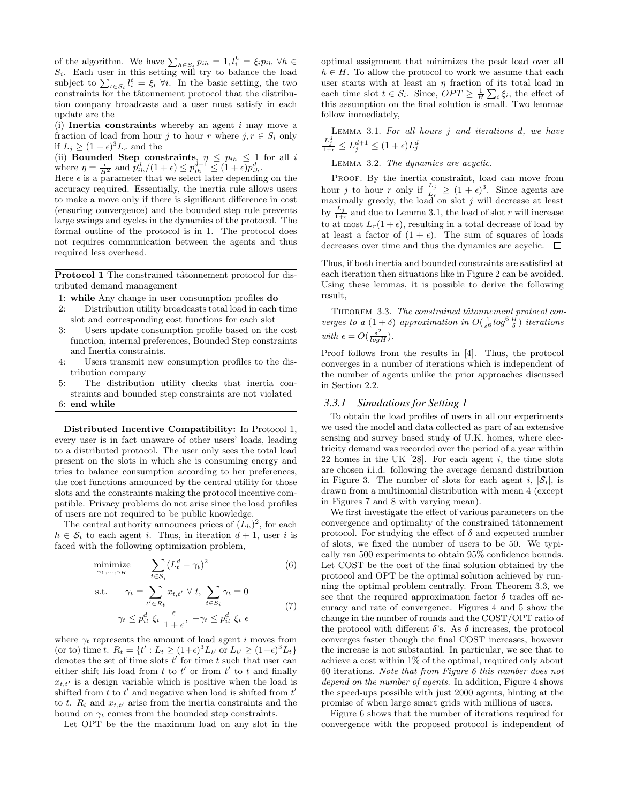of the algorithm. We have  $\sum_{h \in S_i} p_{ih} = 1, l_i^h = \xi_i p_{ih} \ \forall h \in \mathbb{R}$  $S_i$ . Each user in this setting will try to balance the load subject to  $\sum_{t \in S_i} l_i^t = \xi_i \ \forall i$ . In the basic setting, the two constraints for the tâtonnement protocol that the distribution company broadcasts and a user must satisfy in each update are the

(i) Inertia constraints whereby an agent  $i$  may move a fraction of load from hour j to hour r where  $j, r \in S_i$  only if  $L_j \geq (1+\epsilon)^3 L_r$  and the

(ii) Bounded Step constraints,  $\eta \leq p_{ih} \leq 1$  for all i where  $\eta = \frac{\epsilon}{H^2}$  and  $p_{ih}^d/(1+\epsilon) \leq p_{ih}^{d+1} \leq (1+\epsilon)p_{ih}^d$ .

Here  $\epsilon$  is a parameter that we select later depending on the accuracy required. Essentially, the inertia rule allows users to make a move only if there is significant difference in cost (ensuring convergence) and the bounded step rule prevents large swings and cycles in the dynamics of the protocol. The formal outline of the protocol is in 1. The protocol does not requires communication between the agents and thus required less overhead.

Protocol 1 The constrained tâtonnement protocol for distributed demand management

- 1: while Any change in user consumption profiles do
- 2: Distribution utility broadcasts total load in each time slot and corresponding cost functions for each slot
- 3: Users update consumption profile based on the cost function, internal preferences, Bounded Step constraints and Inertia constraints.
- 4: Users transmit new consumption profiles to the distribution company
- 5: The distribution utility checks that inertia constraints and bounded step constraints are not violated 6: end while

Distributed Incentive Compatibility: In Protocol 1, every user is in fact unaware of other users' loads, leading to a distributed protocol. The user only sees the total load present on the slots in which she is consuming energy and tries to balance consumption according to her preferences, the cost functions announced by the central utility for those slots and the constraints making the protocol incentive compatible. Privacy problems do not arise since the load profiles of users are not required to be public knowledge.

The central authority announces prices of  $(L_h)^2$ , for each  $h \in \mathcal{S}_i$  to each agent i. Thus, in iteration  $d+1$ , user i is faced with the following optimization problem,

$$
\underset{\gamma_1,\ldots,\gamma_H}{\text{minimize}} \quad \sum_{t \in \mathcal{S}_i} (L_t^d - \gamma_t)^2 \tag{6}
$$

s.t. 
$$
\gamma_t = \sum_{t' \in R_t} x_{t,t'} \ \forall \ t, \ \sum_{t \in S_i} \gamma_t = 0
$$

$$
\gamma_t \le p_{it}^d \ \xi_i \ \frac{\epsilon}{1+\epsilon}, \ -\gamma_t \le p_{it}^d \ \xi_i \ \epsilon \tag{7}
$$

where  $\gamma_t$  represents the amount of load agent i moves from (or to) time t.  $R_t = \{t' : L_t \ge (1+\epsilon)^3 L_{t'} \text{ or } L_{t'} \ge (1+\epsilon)^3 L_t\}$ denotes the set of time slots  $t'$  for time t such that user can either shift his load from  $t$  to  $t'$  or from  $t'$  to  $t$  and finally  $x_{t,t'}$  is a design variable which is positive when the load is shifted from  $t$  to  $t'$  and negative when load is shifted from  $t'$ to t.  $R_t$  and  $x_{t,t'}$  arise from the inertia constraints and the bound on  $\gamma_t$  comes from the bounded step constraints.

Let OPT be the the maximum load on any slot in the

optimal assignment that minimizes the peak load over all  $h \in H$ . To allow the protocol to work we assume that each user starts with at least an  $\eta$  fraction of its total load in each time slot  $t \in \mathcal{S}_i$ . Since,  $OPT \geq \frac{1}{H} \sum_i \xi_i$ , the effect of this assumption on the final solution is small. Two lemmas follow immediately,

LEMMA 3.1. For all hours  $j$  and iterations  $d$ , we have  $\frac{L_j^d}{1+\epsilon} \le L_j^{d+1} \le (1+\epsilon)L_j^d$ 

LEMMA 3.2. The dynamics are acyclic.

PROOF. By the inertia constraint, load can move from hour j to hour r only if  $\frac{L_j}{L_r} \geq (1+\epsilon)^3$ . Since agents are maximally greedy, the load on slot  $j$  will decrease at least by  $\frac{L_j}{1+\epsilon}$  and due to Lemma 3.1, the load of slot r will increase to at most  $L_r(1+\epsilon)$ , resulting in a total decrease of load by at least a factor of  $(1 + \epsilon)$ . The sum of squares of loads decreases over time and thus the dynamics are acyclic.  $\Box$ 

Thus, if both inertia and bounded constraints are satisfied at each iteration then situations like in Figure 2 can be avoided. Using these lemmas, it is possible to derive the following result,

THEOREM 3.3. The constrained tâtonnement protocol converges to a  $(1+\delta)$  approximation in  $O(\frac{1}{\delta^6}log^6{\frac{H}{\delta}})$  iterations with  $\epsilon = O(\frac{\delta^2}{\log H})$ .

Proof follows from the results in [4]. Thus, the protocol converges in a number of iterations which is independent of the number of agents unlike the prior approaches discussed in Section 2.2.

#### *3.3.1 Simulations for Setting 1*

To obtain the load profiles of users in all our experiments we used the model and data collected as part of an extensive sensing and survey based study of U.K. homes, where electricity demand was recorded over the period of a year within 22 homes in the UK  $[28]$ . For each agent i, the time slots are chosen i.i.d. following the average demand distribution in Figure 3. The number of slots for each agent i,  $|\mathcal{S}_i|$ , is drawn from a multinomial distribution with mean 4 (except in Figures 7 and 8 with varying mean).

We first investigate the effect of various parameters on the convergence and optimality of the constrained tâtonnement protocol. For studying the effect of  $\delta$  and expected number of slots, we fixed the number of users to be 50. We typically ran 500 experiments to obtain 95% confidence bounds. Let COST be the cost of the final solution obtained by the protocol and OPT be the optimal solution achieved by running the optimal problem centrally. From Theorem 3.3, we see that the required approximation factor  $\delta$  trades off accuracy and rate of convergence. Figures 4 and 5 show the change in the number of rounds and the COST/OPT ratio of the protocol with different  $\delta$ 's. As  $\delta$  increases, the protocol converges faster though the final COST increases, however the increase is not substantial. In particular, we see that to achieve a cost within 1% of the optimal, required only about 60 iterations. Note that from Figure 6 this number does not depend on the number of agents. In addition, Figure 4 shows the speed-ups possible with just 2000 agents, hinting at the promise of when large smart grids with millions of users.

Figure 6 shows that the number of iterations required for convergence with the proposed protocol is independent of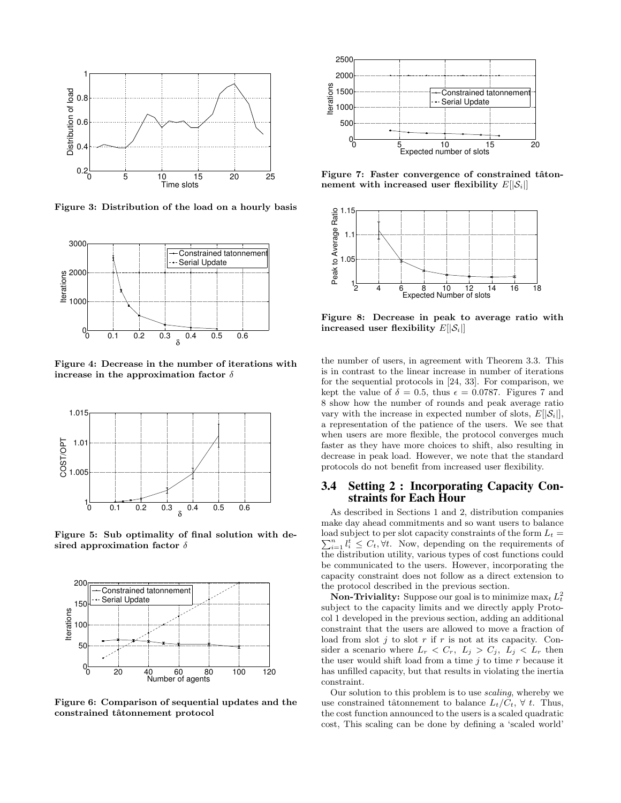

Figure 3: Distribution of the load on a hourly basis



Figure 4: Decrease in the number of iterations with increase in the approximation factor  $\delta$ 



Figure 5: Sub optimality of final solution with desired approximation factor  $\delta$ 



Figure 6: Comparison of sequential updates and the constrained tâtonnement protocol



Figure 7: Faster convergence of constrained tâtonnement with increased user flexibility  $E[|S_i|]$ 



Figure 8: Decrease in peak to average ratio with increased user flexibility  $E[|S_i|]$ 

the number of users, in agreement with Theorem 3.3. This is in contrast to the linear increase in number of iterations for the sequential protocols in [24, 33]. For comparison, we kept the value of  $\delta = 0.5$ , thus  $\epsilon = 0.0787$ . Figures 7 and 8 show how the number of rounds and peak average ratio vary with the increase in expected number of slots,  $E[|\mathcal{S}_i|]$ , a representation of the patience of the users. We see that when users are more flexible, the protocol converges much faster as they have more choices to shift, also resulting in decrease in peak load. However, we note that the standard protocols do not benefit from increased user flexibility.

### 3.4 Setting 2 : Incorporating Capacity Constraints for Each Hour

As described in Sections 1 and 2, distribution companies make day ahead commitments and so want users to balance load subject to per slot capacity constraints of the form  $L_t =$  $\sum_{i=1}^{n} l_i^t \leq C_t, \forall t$ . Now, depending on the requirements of the distribution utility, various types of cost functions could be communicated to the users. However, incorporating the capacity constraint does not follow as a direct extension to the protocol described in the previous section.

**Non-Triviality:** Suppose our goal is to minimize  $\max_t L_t^2$ subject to the capacity limits and we directly apply Protocol 1 developed in the previous section, adding an additional constraint that the users are allowed to move a fraction of load from slot  $j$  to slot  $r$  if  $r$  is not at its capacity. Consider a scenario where  $L_r < C_r$ ,  $L_j > C_j$ ,  $L_j < L_r$  then the user would shift load from a time  $j$  to time  $r$  because it has unfilled capacity, but that results in violating the inertia constraint.

Our solution to this problem is to use scaling, whereby we use constrained tâtonnement to balance  $L_t/C_t$ ,  $\forall t$ . Thus, the cost function announced to the users is a scaled quadratic cost, This scaling can be done by defining a 'scaled world'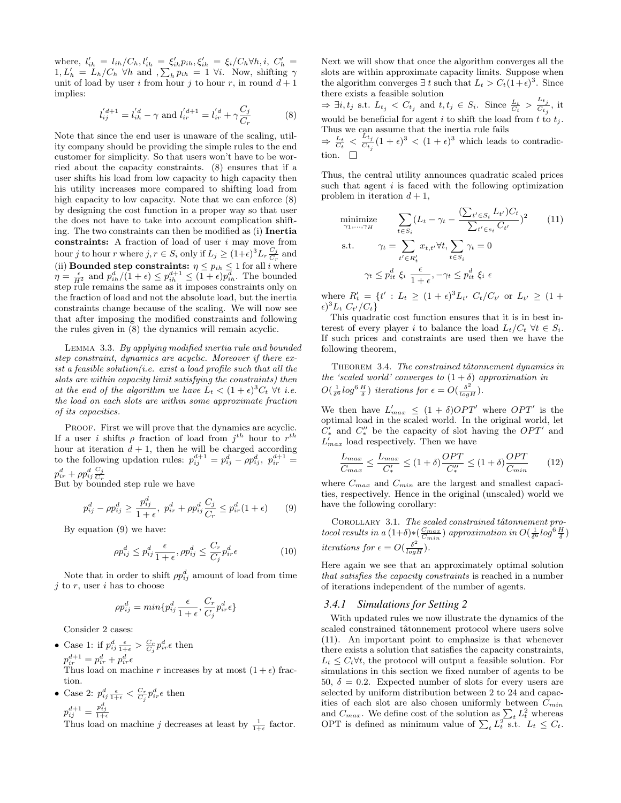where,  $l'_{ih} = l_{ih}/C_h$ ,  $l'_{ih} = \xi'_{ih} p_{ih}$ ,  $\xi'_{ih} = \xi_i/C_h \forall h, i$ ,  $C'_{h} =$  $1, L'_h = L_h/C_h \ \forall h \text{ and }, \sum_h p_{ih} = 1 \ \forall i. \text{ Now, shifting } \gamma$ unit of load by user i from hour j to hour r, in round  $d+1$ implies:

$$
l'_{ij}^{d+1} = l'_{ih} - \gamma \text{ and } l'_{ir}^{d+1} = l'_{ir} + \gamma \frac{C_j}{C_r}
$$
 (8)

Note that since the end user is unaware of the scaling, utility company should be providing the simple rules to the end customer for simplicity. So that users won't have to be worried about the capacity constraints. (8) ensures that if a user shifts his load from low capacity to high capacity then his utility increases more compared to shifting load from high capacity to low capacity. Note that we can enforce  $(8)$ by designing the cost function in a proper way so that user the does not have to take into account complication shifting. The two constraints can then be modified as (i) Inertia constraints: A fraction of load of user  $i$  may move from hour j to hour r where  $j, r \in S_i$  only if  $L_j \geq (1+\epsilon)^3 L_r \frac{C_j}{C_r}$  and (ii) **Bounded step constraints:**  $\eta \leq p_{ih} \leq 1$  for all i where  $\eta = \frac{\epsilon}{H^2}$  and  $p_{ih}^d/(1+\epsilon) \leq p_{ih}^{d+1} \leq (1+\epsilon)p_{ih}^d$ . The bounded step rule remains the same as it imposes constraints only on the fraction of load and not the absolute load, but the inertia constraints change because of the scaling. We will now see that after imposing the modified constraints and following the rules given in (8) the dynamics will remain acyclic.

Lemma 3.3. By applying modified inertia rule and bounded step constraint, dynamics are acyclic. Moreover if there exist a feasible solution $(i.e. \text{ exist a load profile such that all the}$ slots are within capacity limit satisfying the constraints) then at the end of the algorithm we have  $L_t < (1+\epsilon)^3 C_t$   $\forall t$  i.e. the load on each slots are within some approximate fraction of its capacities.

PROOF. First we will prove that the dynamics are acyclic. If a user *i* shifts  $\rho$  fraction of load from  $j^{th}$  hour to  $r^{th}$ hour at iteration  $d + 1$ , then he will be charged according to the following updation rules:  $p_{ij}^{d+1} = p_{ij}^d - \rho p_{ij}^d$ ,  $p_{ir}^{d+1} =$  $p_{ir}^d + \rho p_{ij}^d \frac{C_j}{C_r}$ <br>But by bounded step rule we have

$$
p_{ij}^d - \rho p_{ij}^d \ge \frac{p_{ij}^d}{1 + \epsilon}, \ p_{ir}^d + \rho p_{ij}^d \frac{C_j}{C_r} \le p_{ir}^d (1 + \epsilon) \tag{9}
$$

By equation (9) we have:

$$
\rho p_{ij}^d \le p_{ij}^d \frac{\epsilon}{1+\epsilon}, \rho p_{ij}^d \le \frac{C_r}{C_j} p_{ir}^d \epsilon \tag{10}
$$

Note that in order to shift  $\rho p_{ij}^d$  amount of load from time  $j$  to  $r$ , user  $i$  has to choose

$$
\rho p_{ij}^d = \min\{p_{ij}^d \frac{\epsilon}{1+\epsilon}, \frac{C_r}{C_j} p_{ir}^d \epsilon\}
$$

Consider 2 cases:

- Case 1: if  $p_{ij}^d \frac{\epsilon}{1+\epsilon} > \frac{C_r}{C_j} p_{ir}^d \epsilon$  then  $p_{ir}^{d+1} = p_{ir}^d + p_{ir}^d \epsilon$ Thus load on machine r increases by at most  $(1 + \epsilon)$  fraction.
- Case 2:  $p_{ij}^d \frac{\epsilon}{1+\epsilon} < \frac{C_r}{C_j} p_{ir}^d \epsilon$  then  $p_{ij}^{d+1} = \frac{p_{ij}^d}{1+\epsilon}$

Thus load on machine j decreases at least by  $\frac{1}{1+\epsilon}$  factor.

Next we will show that once the algorithm converges all the slots are within approximate capacity limits. Suppose when the algorithm converges  $\exists t$  such that  $L_t > C_t(1+\epsilon)^3$ . Since there exists a feasible solution

 $\Rightarrow \exists i, t_j \text{ s.t. } L_{t_j} < C_{t_j} \text{ and } t, t_j \in S_i$ . Since  $\frac{L_t}{C_t} > \frac{L_{t_j}}{C_{t_j}}$  $\frac{L_{t_j}}{C_{t_j}}$ , it would be beneficial for agent i to shift the load from  $t$  to  $t_j$ . Thus we can assume that the inertia rule fails

 $\Rightarrow \frac{L_t}{C_t} < \frac{L_{t_j}}{C_{t_j}}$  $\frac{L_{t_j}}{C_{t_j}}(1+\epsilon)^3 < (1+\epsilon)^3$  which leads to contradiction.  $\Box$ 

Thus, the central utility announces quadratic scaled prices such that agent  $i$  is faced with the following optimization problem in iteration  $d+1$ ,

$$
\begin{aligned}\n\text{minimize} & \sum_{\gamma_1, \dots, \gamma_H} (L_t - \gamma_t - \frac{(\sum_{t' \in S_i} L_{t'}) C_t}{\sum_{t' \in s_i} C_{t'}})^2 \\
\text{s.t.} & \gamma_t = \sum_{t' \in R'_t} x_{t,t'} \forall t, \sum_{t \in S_i} \gamma_t = 0 \\
& \gamma_t \le p_{it}^d \xi_i \frac{\epsilon}{1 + \epsilon}, -\gamma_t \le p_{it}^d \xi_i \epsilon\n\end{aligned} \tag{11}
$$

where  $R'_t = \{t' : L_t \geq (1+\epsilon)^3 L_{t'} C_t / C_{t'} \text{ or } L_{t'} \geq (1+\epsilon)^3 L_{t'} C_t \}$  $(\epsilon)^3 L_t C_{t'}/C_t\}$ 

This quadratic cost function ensures that it is in best interest of every player i to balance the load  $L_t/C_t \ \forall t \in S_i$ . If such prices and constraints are used then we have the following theorem,

THEOREM 3.4. The constrained tâtonnement dynamics in the 'scaled world' converges to  $(1 + \delta)$  approximation in  $O(\frac{1}{\delta^6} \log^6 \frac{H}{\delta})$  iterations for  $\epsilon = O(\frac{\delta^2}{\log H})$ .

We then have  $L'_{max} \leq (1 + \delta)OPT'$  where  $OPT'$  is the optimal load in the scaled world. In the original world, let  $\tilde{C}'_*$  and  $C''_*$  be the capacity of slot having the  $OPT'$  and  $L'_{max}$  load respectively. Then we have

$$
\frac{L_{max}}{C_{max}} \le \frac{L_{max}}{C_*'} \le (1+\delta)\frac{OPT}{C_*''} \le (1+\delta)\frac{OPT}{C_{min}} \qquad (12)
$$

where  $C_{max}$  and  $C_{min}$  are the largest and smallest capacities, respectively. Hence in the original (unscaled) world we have the following corollary:

COROLLARY 3.1. The scaled constrained tâtonnement protocol results in a  $(1+\delta) * (\frac{C_{max}}{C_{min}})$  approximation in  $O(\frac{1}{\delta^6}log^6{\frac{H}{\delta}})$ *iterations for*  $\epsilon = O(\frac{\delta^2}{log H})$ .

Here again we see that an approximately optimal solution that satisfies the capacity constraints is reached in a number of iterations independent of the number of agents.

#### *3.4.1 Simulations for Setting 2*

With updated rules we now illustrate the dynamics of the scaled constrained tâtonnement protocol where users solve (11). An important point to emphasize is that whenever there exists a solution that satisfies the capacity constraints,  $L_t \leq C_t \forall t$ , the protocol will output a feasible solution. For simulations in this section we fixed number of agents to be 50,  $\delta = 0.2$ . Expected number of slots for every users are selected by uniform distribution between 2 to 24 and capacities of each slot are also chosen uniformly between  $C_{min}$ and  $C_{max}$ . We define cost of the solution as  $\sum_{t} L_t^2$  whereas OPT is defined as minimum value of  $\sum_{t} L_t^2 \sin t$ .  $L_t \leq C_t$ .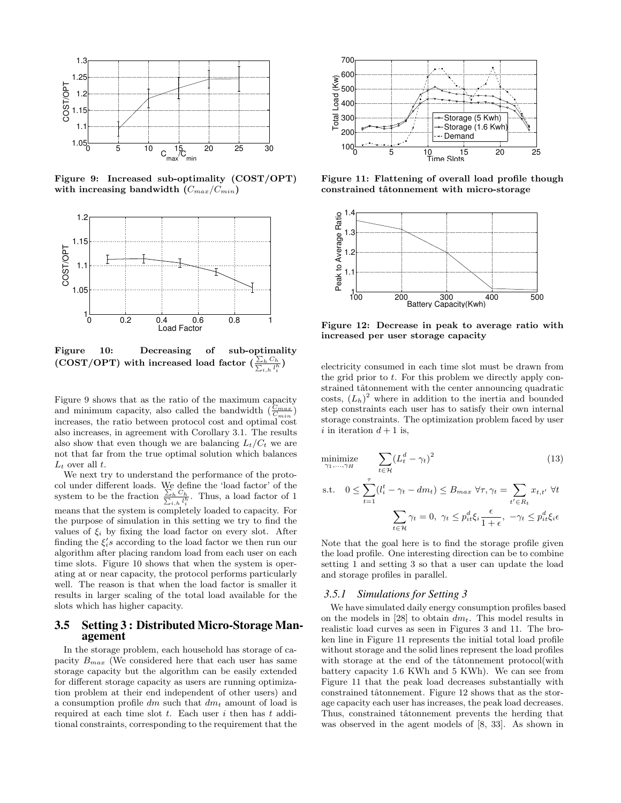

Figure 9: Increased sub-optimality (COST/OPT) with increasing bandwidth  $(C_{max}/C_{min})$ 



Figure 10: Decreasing of sub-optimality  ${\rm (COST/OPT)}$  with increased load factor  $(\frac{\sum_h C_h}{\sum_{i,h} l_i^h})$ 

Figure 9 shows that as the ratio of the maximum capacity and minimum capacity, also called the bandwidth  $(\frac{C_{max}}{C_{min}})$ increases, the ratio between protocol cost and optimal cost also increases, in agreement with Corollary 3.1. The results also show that even though we are balancing  $L_t/C_t$  we are not that far from the true optimal solution which balances  $L_t$  over all t.

We next try to understand the performance of the protocol under different loads. We define the 'load factor' of the system to be the fraction  $\frac{\sum_h C_h}{\sum_{i,h} l_i^h}$ . Thus, a load factor of 1 means that the system is completely loaded to capacity. For the purpose of simulation in this setting we try to find the values of  $\xi_i$  by fixing the load factor on every slot. After finding the  $\xi_i$ 's according to the load factor we then run our algorithm after placing random load from each user on each time slots. Figure 10 shows that when the system is operating at or near capacity, the protocol performs particularly well. The reason is that when the load factor is smaller it results in larger scaling of the total load available for the slots which has higher capacity.

### 3.5 Setting 3 : Distributed Micro-Storage Management

In the storage problem, each household has storage of capacity  $B_{max}$  (We considered here that each user has same storage capacity but the algorithm can be easily extended for different storage capacity as users are running optimization problem at their end independent of other users) and a consumption profile  $dm$  such that  $dm_t$  amount of load is required at each time slot  $t$ . Each user  $i$  then has  $t$  additional constraints, corresponding to the requirement that the



Figure 11: Flattening of overall load profile though constrained tâtonnement with micro-storage



Figure 12: Decrease in peak to average ratio with increased per user storage capacity

electricity consumed in each time slot must be drawn from the grid prior to t. For this problem we directly apply constrained tâtonnement with the center announcing quadratic costs,  $(L_h)^2$  where in addition to the inertia and bounded step constraints each user has to satisfy their own internal storage constraints. The optimization problem faced by user i in iteration  $d+1$  is,

minimize  
\n
$$
\sum_{\gamma_1,\dots,\gamma_H} (L_t^d - \gamma_t)^2
$$
\n
$$
\text{s.t.} \quad 0 \le \sum_{t=1}^\tau (l_t^t - \gamma_t - dm_t) \le B_{\max} \ \forall \tau, \gamma_t = \sum_{t' \in R_t} x_{t,t'} \ \forall t
$$
\n
$$
\sum_{t \in \mathcal{H}} \gamma_t = 0, \ \gamma_t \le p_{it}^d \xi_t \frac{\epsilon}{1 + \epsilon}, \ -\gamma_t \le p_{it}^d \xi_t \epsilon
$$
\n(13)

Note that the goal here is to find the storage profile given the load profile. One interesting direction can be to combine setting 1 and setting 3 so that a user can update the load and storage profiles in parallel.

#### *3.5.1 Simulations for Setting 3*

We have simulated daily energy consumption profiles based on the models in [28] to obtain  $dm_t$ . This model results in realistic load curves as seen in Figures 3 and 11. The broken line in Figure 11 represents the initial total load profile without storage and the solid lines represent the load profiles with storage at the end of the tâtonnement protocol(with battery capacity 1.6 KWh and 5 KWh). We can see from Figure 11 that the peak load decreases substantially with constrained tâtonnement. Figure 12 shows that as the storage capacity each user has increases, the peak load decreases. Thus, constrained tâtonnement prevents the herding that was observed in the agent models of [8, 33]. As shown in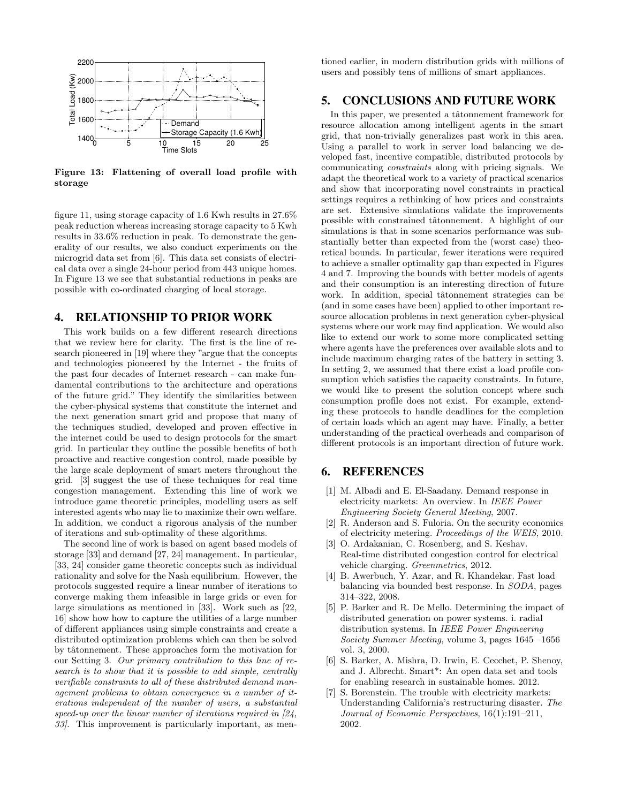

Figure 13: Flattening of overall load profile with storage

figure 11, using storage capacity of 1.6 Kwh results in 27.6% peak reduction whereas increasing storage capacity to 5 Kwh results in 33.6% reduction in peak. To demonstrate the generality of our results, we also conduct experiments on the microgrid data set from [6]. This data set consists of electrical data over a single 24-hour period from 443 unique homes. In Figure 13 we see that substantial reductions in peaks are possible with co-ordinated charging of local storage.

## 4. RELATIONSHIP TO PRIOR WORK

This work builds on a few different research directions that we review here for clarity. The first is the line of research pioneered in [19] where they "argue that the concepts and technologies pioneered by the Internet - the fruits of the past four decades of Internet research - can make fundamental contributions to the architecture and operations of the future grid." They identify the similarities between the cyber-physical systems that constitute the internet and the next generation smart grid and propose that many of the techniques studied, developed and proven effective in the internet could be used to design protocols for the smart grid. In particular they outline the possible benefits of both proactive and reactive congestion control, made possible by the large scale deployment of smart meters throughout the grid. [3] suggest the use of these techniques for real time congestion management. Extending this line of work we introduce game theoretic principles, modelling users as self interested agents who may lie to maximize their own welfare. In addition, we conduct a rigorous analysis of the number of iterations and sub-optimality of these algorithms.

The second line of work is based on agent based models of storage [33] and demand [27, 24] management. In particular, [33, 24] consider game theoretic concepts such as individual rationality and solve for the Nash equilibrium. However, the protocols suggested require a linear number of iterations to converge making them infeasible in large grids or even for large simulations as mentioned in [33]. Work such as [22, 16] show how how to capture the utilities of a large number of different appliances using simple constraints and create a distributed optimization problems which can then be solved by tâtonnement. These approaches form the motivation for our Setting 3. Our primary contribution to this line of research is to show that it is possible to add simple, centrally verifiable constraints to all of these distributed demand management problems to obtain convergence in a number of iterations independent of the number of users, a substantial speed-up over the linear number of iterations required in  $[24, 1]$ 33]. This improvement is particularly important, as mentioned earlier, in modern distribution grids with millions of users and possibly tens of millions of smart appliances.

### 5. CONCLUSIONS AND FUTURE WORK

In this paper, we presented a tâtonnement framework for resource allocation among intelligent agents in the smart grid, that non-trivially generalizes past work in this area. Using a parallel to work in server load balancing we developed fast, incentive compatible, distributed protocols by communicating constraints along with pricing signals. We adapt the theoretical work to a variety of practical scenarios and show that incorporating novel constraints in practical settings requires a rethinking of how prices and constraints are set. Extensive simulations validate the improvements possible with constrained tâtonnement. A highlight of our simulations is that in some scenarios performance was substantially better than expected from the (worst case) theoretical bounds. In particular, fewer iterations were required to achieve a smaller optimality gap than expected in Figures 4 and 7. Improving the bounds with better models of agents and their consumption is an interesting direction of future work. In addition, special tâtonnement strategies can be (and in some cases have been) applied to other important resource allocation problems in next generation cyber-physical systems where our work may find application. We would also like to extend our work to some more complicated setting where agents have the preferences over available slots and to include maximum charging rates of the battery in setting 3. In setting 2, we assumed that there exist a load profile consumption which satisfies the capacity constraints. In future, we would like to present the solution concept where such consumption profile does not exist. For example, extending these protocols to handle deadlines for the completion of certain loads which an agent may have. Finally, a better understanding of the practical overheads and comparison of different protocols is an important direction of future work.

### 6. REFERENCES

- [1] M. Albadi and E. El-Saadany. Demand response in electricity markets: An overview. In IEEE Power Engineering Society General Meeting, 2007.
- [2] R. Anderson and S. Fuloria. On the security economics of electricity metering. Proceedings of the WEIS, 2010.
- [3] O. Ardakanian, C. Rosenberg, and S. Keshav. Real-time distributed congestion control for electrical vehicle charging. Greenmetrics, 2012.
- [4] B. Awerbuch, Y. Azar, and R. Khandekar. Fast load balancing via bounded best response. In SODA, pages 314–322, 2008.
- [5] P. Barker and R. De Mello. Determining the impact of distributed generation on power systems. i. radial distribution systems. In IEEE Power Engineering Society Summer Meeting, volume 3, pages 1645 –1656 vol. 3, 2000.
- [6] S. Barker, A. Mishra, D. Irwin, E. Cecchet, P. Shenoy, and J. Albrecht. Smart\*: An open data set and tools for enabling research in sustainable homes. 2012.
- [7] S. Borenstein. The trouble with electricity markets: Understanding California's restructuring disaster. The Journal of Economic Perspectives, 16(1):191–211, 2002.